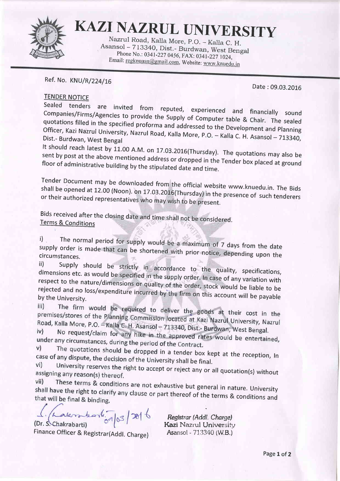

KAZI NAZRUL UNIVERSITY

Asansol - 713340, Dist.- Burdwan, West Bengal<br>Phone No.: 0341-227 0456, FAX: 0341-227 1024,<br>Email: <u>regknuasn@gmail.com</u>, Website: <u>www.knuedu.in</u>

## Ref. No. KNU/R/224/16

Date :09.03.2016

## TENDER NOTICE

sealed Companies/Firms/Agencies Companies/Firms/Agencies to provide the Supply of Computer table & Chair. The sealed<br>quotations filled in the specified proforma and addressed to the Development and Planning Officer, Kazi Nazrul University, Nazrul Road, Kalla More, P.O. - Kalla C. H. Asansol - 713340,<br>Dist.- Burdwan. West Bengal

It should reach latest by 11.00 A.M. on 17.03.2016(Thursday). The quotations may also be sent by post at the above mentioned address or dropped in the Taulus Line quotations may also be floor of administrative building by the stipulated date and time. above mentioned address or dropped in the Tender box placed at ground ive building by the stipulated date and time.

Tender Document may be downloaded from the official website www.knuedu.in. The Bids<br>shall be opened at 12.00 (Noon), on 17.03.2016(Thursday) in the presence of such tan h shall be opened at 12.00 (Noon). on 17.03.2016(Thursday) in the presence of such tenderers or their authorized representatives who may wish to be present.

Bids received after the closing date and time shall not be considered<br><u>Terms & Conditions</u>

i) The normal period for supply would be a maximum of 7 days from the date supply order is made that <sup>1</sup>) The normal period for supply would be a maximum of 7 days from the date<br>supply order is made that can be shortened with prior notice, depending upon the<br>circumstances.

circumstances.<br>ii) Supply should be strictly in accordance to the quality, specifications,<br>dimensions etc. as would be specified in the supply order. In case of any variation with etc. as would be specified in the supply order. In case of any variation with<br>he nature/dimensions or quality of the order, stock would be liable to be<br>I no loss/expenditure insure the stock is stock would be liable to be respect to the rejected and no loss/expenditure incurred by the firm on this account will be payable<br>by the University.<br>iii) The firm would be required to deliver the goods at their cost in the iii)

premises/stores of the Planning Commission located at Kazi Nazrul University, Nazrul<br>Road, Kalla More, P.O. - Kalla C. H. Asansol., 712249. pri. at Nazrul University, Nazrul Road, Kalla More, P.O. - Kalla C. H. Asansol - 713340, Dist.- Burdwan, West Bengal.<br>iv) No request/claim for any bike in the state of Burdwan, West Bengal.

No request/claim for any hike in the approved rates would be entertained, under any circumstances, during the period of the Contract. v)

The quotations should be dropped in a tender box kept at the reception, In case of any dispute, the decision of the University shall be final.  $Vi)$ 

University reserves the right to accept or reject any or all quotation(s) without assigning any reason(s) thereof. vii)

These terms & conditions are not exhaustive but general in nature. University shall have the right to clarify any clause or part thereof of the terms & conditions and that will be final & binding.

 $a k r$   $b r$   $\frac{1}{6} q |_{0} 3 | 38 | 6$ 

(Dr. S. Chakrabarti) Finance Officer & Registrar(Addl. Charge) Registrar (Addl. Charge)<br>Kazi Nazrul University<br>Asansol - 713340 (W.B.)